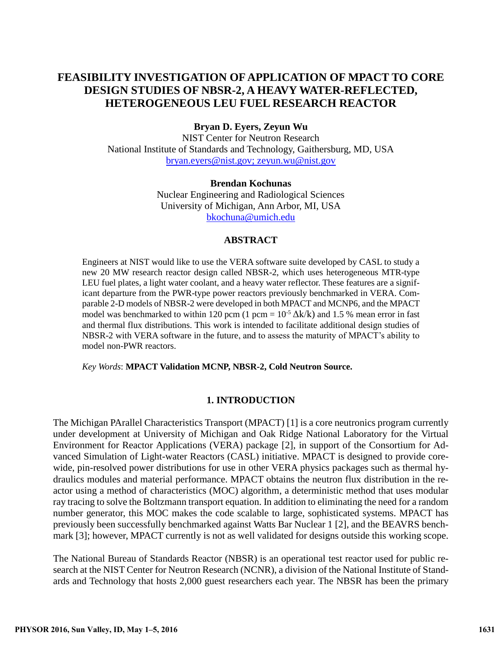# **FEASIBILITY INVESTIGATION OF APPLICATION OF MPACT TO CORE DESIGN STUDIES OF NBSR-2, A HEAVY WATER-REFLECTED, HETEROGENEOUS LEU FUEL RESEARCH REACTOR**

### **Bryan D. Eyers, Zeyun Wu**

NIST Center for Neutron Research National Institute of Standards and Technology, Gaithersburg, MD, USA [bryan.eyers@nist.gov;](mailto:bryan.eyers@nist.gov) [zeyun.wu@nist.gov](mailto:zeyun.wu@nist.gov)

#### **Brendan Kochunas**

Nuclear Engineering and Radiological Sciences University of Michigan, Ann Arbor, MI, USA [bkochuna@umich.edu](mailto:bkochuna@umich.edu)

#### **ABSTRACT**

Engineers at NIST would like to use the VERA software suite developed by CASL to study a new 20 MW research reactor design called NBSR-2, which uses heterogeneous MTR-type LEU fuel plates, a light water coolant, and a heavy water reflector. These features are a significant departure from the PWR-type power reactors previously benchmarked in VERA. Comparable 2-D models of NBSR-2 were developed in both MPACT and MCNP6, and the MPACT model was benchmarked to within 120 pcm (1 pcm =  $10^{-5} \Delta k/k$ ) and 1.5 % mean error in fast and thermal flux distributions. This work is intended to facilitate additional design studies of NBSR-2 with VERA software in the future, and to assess the maturity of MPACT's ability to model non-PWR reactors.

*Key Words*: **MPACT Validation MCNP, NBSR-2, Cold Neutron Source.**

### **1. INTRODUCTION**

The Michigan PArallel Characteristics Transport (MPACT) [1] is a core neutronics program currently under development at University of Michigan and Oak Ridge National Laboratory for the Virtual Environment for Reactor Applications (VERA) package [\[2\],](#page-9-0) in support of the Consortium for Advanced Simulation of Light-water Reactors (CASL) initiative. MPACT is designed to provide corewide, pin-resolved power distributions for use in other VERA physics packages such as thermal hydraulics modules and material performance. MPACT obtains the neutron flux distribution in the reactor using a method of characteristics (MOC) algorithm, a deterministic method that uses modular ray tracing to solve the Boltzmann transport equation. In addition to eliminating the need for a random number generator, this MOC makes the code scalable to large, sophisticated systems. MPACT has previously been successfully benchmarked against Watts Bar Nuclear 1 [\[2\],](#page-9-0) and the BEAVRS benchmark [\[3\];](#page-9-1) however, MPACT currently is not as well validated for designs outside this working scope.

The National Bureau of Standards Reactor (NBSR) is an operational test reactor used for public research at the NIST Center for Neutron Research (NCNR), a division of the National Institute of Standards and Technology that hosts 2,000 guest researchers each year. The NBSR has been the primary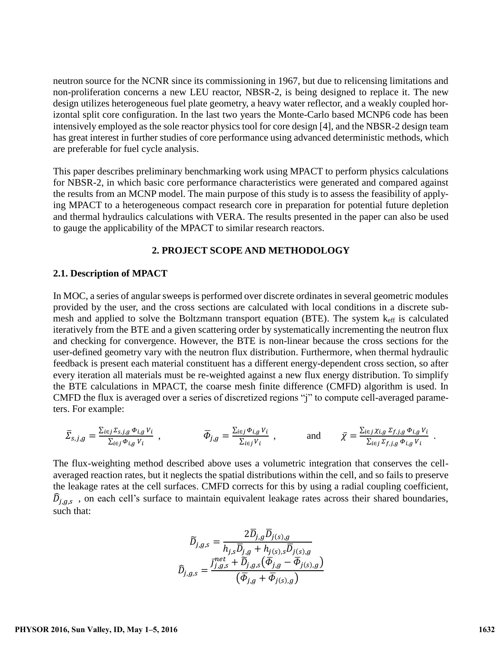neutron source for the NCNR since its commissioning in 1967, but due to relicensing limitations and non-proliferation concerns a new LEU reactor, NBSR-2, is being designed to replace it. The new design utilizes heterogeneous fuel plate geometry, a heavy water reflector, and a weakly coupled horizontal split core configuration. In the last two years the Monte-Carlo based MCNP6 code has been intensively employed as the sole reactor physics tool for core design [\[4\],](#page-9-2) and the NBSR-2 design team has great interest in further studies of core performance using advanced deterministic methods, which are preferable for fuel cycle analysis.

This paper describes preliminary benchmarking work using MPACT to perform physics calculations for NBSR-2, in which basic core performance characteristics were generated and compared against the results from an MCNP model. The main purpose of this study is to assess the feasibility of applying MPACT to a heterogeneous compact research core in preparation for potential future depletion and thermal hydraulics calculations with VERA. The results presented in the paper can also be used to gauge the applicability of the MPACT to similar research reactors.

### **2. PROJECT SCOPE AND METHODOLOGY**

#### **2.1. Description of MPACT**

In MOC, a series of angular sweeps is performed over discrete ordinates in several geometric modules provided by the user, and the cross sections are calculated with local conditions in a discrete submesh and applied to solve the Boltzmann transport equation (BTE). The system keff is calculated iteratively from the BTE and a given scattering order by systematically incrementing the neutron flux and checking for convergence. However, the BTE is non-linear because the cross sections for the user-defined geometry vary with the neutron flux distribution. Furthermore, when thermal hydraulic feedback is present each material constituent has a different energy-dependent cross section, so after every iteration all materials must be re-weighted against a new flux energy distribution. To simplify the BTE calculations in MPACT, the coarse mesh finite difference (CMFD) algorithm is used. In CMFD the flux is averaged over a series of discretized regions "j" to compute cell-averaged parameters. For example:

$$
\bar{\Sigma}_{s,j,g} = \frac{\sum_{i \in j} \sum_{s,j,g} \Phi_{i,g} V_i}{\sum_{i \in j} \Phi_{i,g} V_i} , \qquad \bar{\Phi}_{j,g} = \frac{\sum_{i \in j} \Phi_{i,g} V_i}{\sum_{i \in j} V_i} , \qquad \text{and} \qquad \bar{\chi} = \frac{\sum_{i \in j} \chi_{i,g} \Sigma_{f,j,g} \Phi_{i,g} V_i}{\sum_{i \in j} \Sigma_{f,j,g} \Phi_{i,g} V_i} .
$$

The flux-weighting method described above uses a volumetric integration that conserves the cellaveraged reaction rates, but it neglects the spatial distributions within the cell, and so fails to preserve the leakage rates at the cell surfaces. CMFD corrects for this by using a radial coupling coefficient,  $\widehat{D}_{j,g,s}$ , on each cell's surface to maintain equivalent leakage rates across their shared boundaries, such that:

$$
\widetilde{D}_{j,g,s} = \frac{2\overline{D}_{j,g}\overline{D}_{j(s),g}}{h_{j,s}\overline{D}_{j,g} + h_{j(s),s}\overline{D}_{j(s),g}}
$$

$$
\widehat{D}_{j,g,s} = \frac{\overline{J}_{j,g,s}^{net} + \widetilde{D}_{j,g,s}(\overline{\Phi}_{j,g} - \overline{\Phi}_{j(s),g})}{(\overline{\Phi}_{j,g} + \overline{\Phi}_{j(s),g})}
$$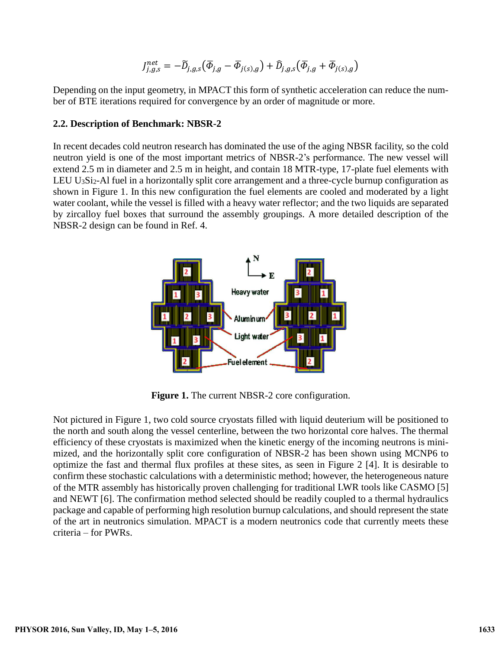$$
J_{j,g,s}^{net}=-\widetilde{D}_{j,g,s}\big(\overline{\varPhi}_{j,g}-\overline{\varPhi}_{j(s),g}\big)+\widehat{D}_{j,g,s}\big(\overline{\varPhi}_{j,g}+\overline{\varPhi}_{j(s),g}\big)
$$

Depending on the input geometry, in MPACT this form of synthetic acceleration can reduce the number of BTE iterations required for convergence by an order of magnitude or more.

### **2.2. Description of Benchmark: NBSR-2**

In recent decades cold neutron research has dominated the use of the aging NBSR facility, so the cold neutron yield is one of the most important metrics of NBSR-2's performance. The new vessel will extend 2.5 m in diameter and 2.5 m in height, and contain 18 MTR-type, 17-plate fuel elements with LEU  $U_3Si_2$ -Al fuel in a horizontally split core arrangement and a three-cycle burnup configuration as shown in Figure 1. In this new configuration the fuel elements are cooled and moderated by a light water coolant, while the vessel is filled with a heavy water reflector; and the two liquids are separated by zircalloy fuel boxes that surround the assembly groupings. A more detailed description of the NBSR-2 design can be found in Ref. 4.



**Figure 1.** The current NBSR-2 core configuration.

Not pictured in Figure 1, two cold source cryostats filled with liquid deuterium will be positioned to the north and south along the vessel centerline, between the two horizontal core halves. The thermal efficiency of these cryostats is maximized when the kinetic energy of the incoming neutrons is minimized, and the horizontally split core configuration of NBSR-2 has been shown using MCNP6 to optimize the fast and thermal flux profiles at these sites, as seen in Figure 2 [\[4\].](#page-9-2) It is desirable to confirm these stochastic calculations with a deterministic method; however, the heterogeneous nature of the MTR assembly has historically proven challenging for traditional LWR tools like CASMO [\[5\]](#page-9-3) and NEWT [\[6\].](#page-9-4) The confirmation method selected should be readily coupled to a thermal hydraulics package and capable of performing high resolution burnup calculations, and should represent the state of the art in neutronics simulation. MPACT is a modern neutronics code that currently meets these criteria – for PWRs.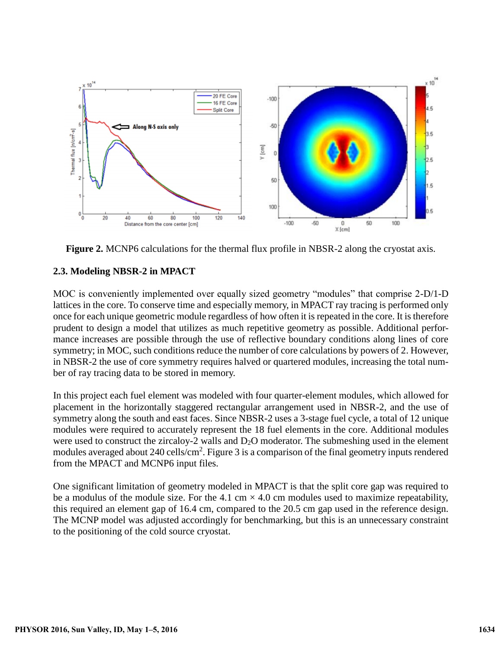

**Figure 2.** MCNP6 calculations for the thermal flux profile in NBSR-2 along the cryostat axis.

# **2.3. Modeling NBSR-2 in MPACT**

MOC is conveniently implemented over equally sized geometry "modules" that comprise 2-D/1-D lattices in the core. To conserve time and especially memory, in MPACT ray tracing is performed only once for each unique geometric module regardless of how often it is repeated in the core. It is therefore prudent to design a model that utilizes as much repetitive geometry as possible. Additional performance increases are possible through the use of reflective boundary conditions along lines of core symmetry; in MOC, such conditions reduce the number of core calculations by powers of 2. However, in NBSR-2 the use of core symmetry requires halved or quartered modules, increasing the total number of ray tracing data to be stored in memory.

In this project each fuel element was modeled with four quarter-element modules, which allowed for placement in the horizontally staggered rectangular arrangement used in NBSR-2, and the use of symmetry along the south and east faces. Since NBSR-2 uses a 3-stage fuel cycle, a total of 12 unique modules were required to accurately represent the 18 fuel elements in the core. Additional modules were used to construct the zircaloy-2 walls and  $D_2O$  moderator. The submeshing used in the element modules averaged about 240 cells/cm<sup>2</sup>. Figure 3 is a comparison of the final geometry inputs rendered from the MPACT and MCNP6 input files.

One significant limitation of geometry modeled in MPACT is that the split core gap was required to be a modulus of the module size. For the 4.1 cm  $\times$  4.0 cm modules used to maximize repeatability, this required an element gap of 16.4 cm, compared to the 20.5 cm gap used in the reference design. The MCNP model was adjusted accordingly for benchmarking, but this is an unnecessary constraint to the positioning of the cold source cryostat.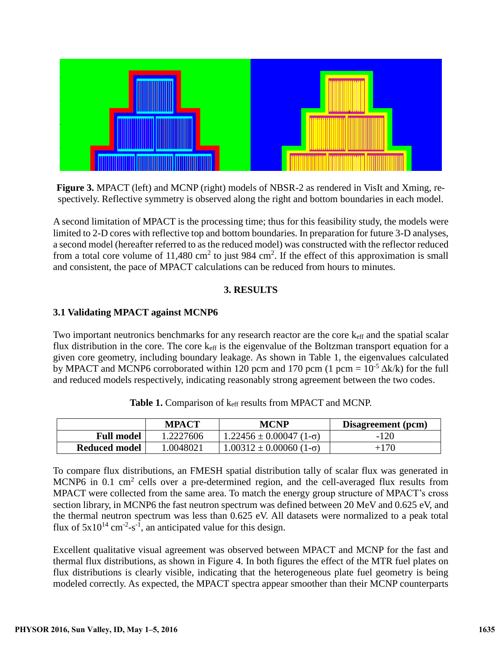

**Figure 3.** MPACT (left) and MCNP (right) models of NBSR-2 as rendered in VisIt and Xming, respectively. Reflective symmetry is observed along the right and bottom boundaries in each model.

A second limitation of MPACT is the processing time; thus for this feasibility study, the models were limited to 2-D cores with reflective top and bottom boundaries. In preparation for future 3-D analyses, a second model (hereafter referred to as the reduced model) was constructed with the reflector reduced from a total core volume of  $11,480 \text{ cm}^2$  to just 984 cm<sup>2</sup>. If the effect of this approximation is small and consistent, the pace of MPACT calculations can be reduced from hours to minutes.

# **3. RESULTS**

# **3.1 Validating MPACT against MCNP6**

Two important neutronics benchmarks for any research reactor are the core k<sub>eff</sub> and the spatial scalar flux distribution in the core. The core  $k_{\text{eff}}$  is the eigenvalue of the Boltzman transport equation for a given core geometry, including boundary leakage. As shown in Table 1, the eigenvalues calculated by MPACT and MCNP6 corroborated within 120 pcm and 170 pcm (1 pcm =  $10^{-5} \Delta k/k$ ) for the full and reduced models respectively, indicating reasonably strong agreement between the two codes.

|                   | <b>MPACT</b> | <b>MCNP</b>                          | Disagreement (pcm) |
|-------------------|--------------|--------------------------------------|--------------------|
| <b>Full model</b> | 1.2227606    | $1.22456 \pm 0.00047$ (1- $\sigma$ ) | $-120$             |
| Reduced model     | l.0048021    | $1.00312 \pm 0.00060$ (1- $\sigma$ ) | $+170$             |

|  |  | <b>Table 1.</b> Comparison of keff results from MPACT and MCNP. |
|--|--|-----------------------------------------------------------------|
|--|--|-----------------------------------------------------------------|

To compare flux distributions, an FMESH spatial distribution tally of scalar flux was generated in MCNP6 in 0.1  $\text{cm}^2$  cells over a pre-determined region, and the cell-averaged flux results from MPACT were collected from the same area. To match the energy group structure of MPACT's cross section library, in MCNP6 the fast neutron spectrum was defined between 20 MeV and 0.625 eV, and the thermal neutron spectrum was less than 0.625 eV. All datasets were normalized to a peak total flux of  $5x10^{14}$  cm<sup>-2</sup>-s<sup>-1</sup>, an anticipated value for this design.

Excellent qualitative visual agreement was observed between MPACT and MCNP for the fast and thermal flux distributions, as shown in Figure 4. In both figures the effect of the MTR fuel plates on flux distributions is clearly visible, indicating that the heterogeneous plate fuel geometry is being modeled correctly. As expected, the MPACT spectra appear smoother than their MCNP counterparts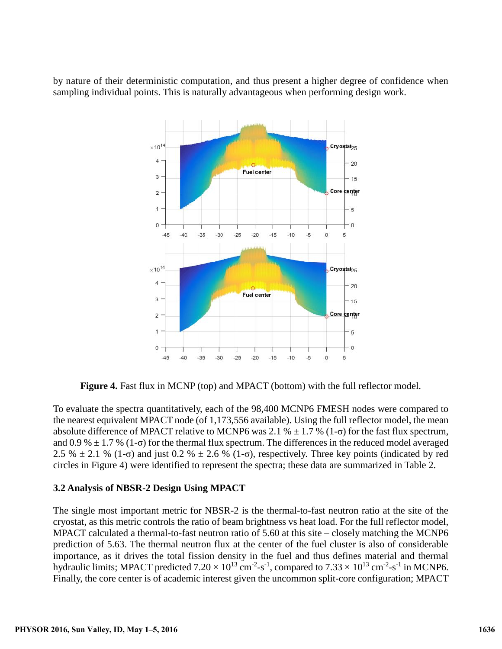by nature of their deterministic computation, and thus present a higher degree of confidence when sampling individual points. This is naturally advantageous when performing design work.



**Figure 4.** Fast flux in MCNP (top) and MPACT (bottom) with the full reflector model.

To evaluate the spectra quantitatively, each of the 98,400 MCNP6 FMESH nodes were compared to the nearest equivalent MPACT node (of 1,173,556 available). Using the full reflector model, the mean absolute difference of MPACT relative to MCNP6 was 2.1 %  $\pm$  1.7 % (1- $\sigma$ ) for the fast flux spectrum, and 0.9 %  $\pm$  1.7 % (1- $\sigma$ ) for the thermal flux spectrum. The differences in the reduced model averaged 2.5 %  $\pm$  2.1 % (1-σ) and just 0.2 %  $\pm$  2.6 % (1-σ), respectively. Three key points (indicated by red circles in Figure 4) were identified to represent the spectra; these data are summarized in Table 2.

### **3.2 Analysis of NBSR-2 Design Using MPACT**

The single most important metric for NBSR-2 is the thermal-to-fast neutron ratio at the site of the cryostat, as this metric controls the ratio of beam brightness vs heat load. For the full reflector model, MPACT calculated a thermal-to-fast neutron ratio of 5.60 at this site – closely matching the MCNP6 prediction of 5.63. The thermal neutron flux at the center of the fuel cluster is also of considerable importance, as it drives the total fission density in the fuel and thus defines material and thermal hydraulic limits; MPACT predicted  $7.20 \times 10^{13}$  cm<sup>-2</sup>-s<sup>-1</sup>, compared to  $7.33 \times 10^{13}$  cm<sup>-2</sup>-s<sup>-1</sup> in MCNP6. Finally, the core center is of academic interest given the uncommon split-core configuration; MPACT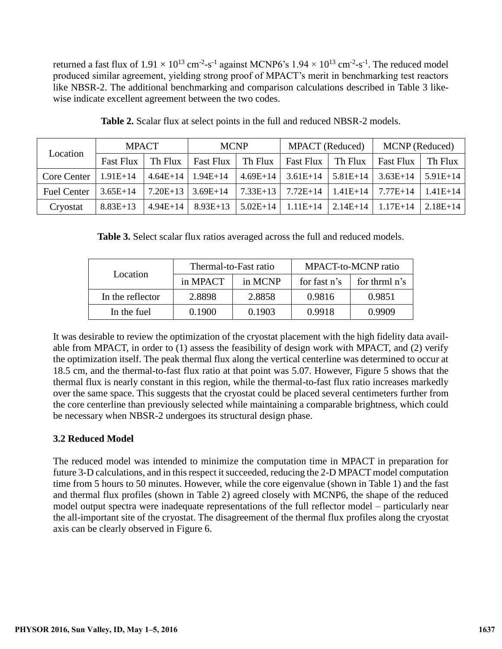returned a fast flux of  $1.91 \times 10^{13}$  cm<sup>-2</sup>-s<sup>-1</sup> against MCNP6's  $1.94 \times 10^{13}$  cm<sup>-2</sup>-s<sup>-1</sup>. The reduced model produced similar agreement, yielding strong proof of MPACT's merit in benchmarking test reactors like NBSR-2. The additional benchmarking and comparison calculations described in Table 3 likewise indicate excellent agreement between the two codes.

| Location           | <b>MPACT</b> | <b>MCNP</b>                                                                                     | <b>MPACT</b> (Reduced) | MCNP (Reduced)                                                                                           |            |
|--------------------|--------------|-------------------------------------------------------------------------------------------------|------------------------|----------------------------------------------------------------------------------------------------------|------------|
|                    |              |                                                                                                 |                        | Fast Flux   Th Flux   Fast Flux   Th Flux   Fast Flux   Th Flux   Th Flux   Th Flux                      |            |
| Core Center 1      | $1.91E+14$   | $ 4.64E+14 1.94E+14$                                                                            |                        | $\vert$ 4.69E+14 $\vert$ 3.61E+14 $\vert$ 5.81E+14 $\vert$ 3.63E+14 $\vert$ 5.91E+14 $\vert$             |            |
| <b>Fuel Center</b> | $3.65E+14$   |                                                                                                 |                        | $\mid 7.20E+13 \mid 3.69E+14 \mid 7.33E+13 \mid 7.72E+14 \mid 1.41E+14 \mid 7.77E+14 \mid 1.41E+14 \mid$ |            |
| Cryostat           | $8.83E+13$   | $\mid$ 4.94E+14 $\mid$ 8.93E+13 $\mid$ 5.02E+14 $\mid$ 1.11E+14 $\mid$ 2.14E+14 $\mid$ 1.17E+14 |                        |                                                                                                          | $2.18E+14$ |

|  |  |  |  |  |  | <b>Table 2.</b> Scalar flux at select points in the full and reduced NBSR-2 models. |
|--|--|--|--|--|--|-------------------------------------------------------------------------------------|
|  |  |  |  |  |  |                                                                                     |

**Table 3.** Select scalar flux ratios averaged across the full and reduced models.

|                  | Thermal-to-Fast ratio |         | MPACT-to-MCNP ratio |               |  |  |
|------------------|-----------------------|---------|---------------------|---------------|--|--|
| Location         | in MPACT              | in MCNP | for fast n's        | for thrml n's |  |  |
| In the reflector | 2.8898                | 2.8858  | 0.9816              | 0.9851        |  |  |
| In the fuel      | 0.1900                | 0.1903  | 0.9918              | 0.9909        |  |  |

It was desirable to review the optimization of the cryostat placement with the high fidelity data available from MPACT, in order to (1) assess the feasibility of design work with MPACT, and (2) verify the optimization itself. The peak thermal flux along the vertical centerline was determined to occur at 18.5 cm, and the thermal-to-fast flux ratio at that point was 5.07. However, Figure 5 shows that the thermal flux is nearly constant in this region, while the thermal-to-fast flux ratio increases markedly over the same space. This suggests that the cryostat could be placed several centimeters further from the core centerline than previously selected while maintaining a comparable brightness, which could be necessary when NBSR-2 undergoes its structural design phase.

# **3.2 Reduced Model**

The reduced model was intended to minimize the computation time in MPACT in preparation for future 3-D calculations, and in this respect it succeeded, reducing the 2-D MPACT model computation time from 5 hours to 50 minutes. However, while the core eigenvalue (shown in Table 1) and the fast and thermal flux profiles (shown in Table 2) agreed closely with MCNP6, the shape of the reduced model output spectra were inadequate representations of the full reflector model – particularly near the all-important site of the cryostat. The disagreement of the thermal flux profiles along the cryostat axis can be clearly observed in Figure 6.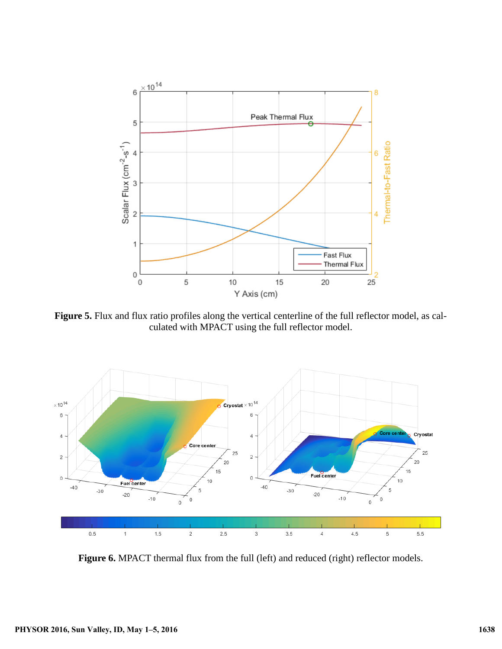

Figure 5. Flux and flux ratio profiles along the vertical centerline of the full reflector model, as calculated with MPACT using the full reflector model.



Figure 6. MPACT thermal flux from the full (left) and reduced (right) reflector models.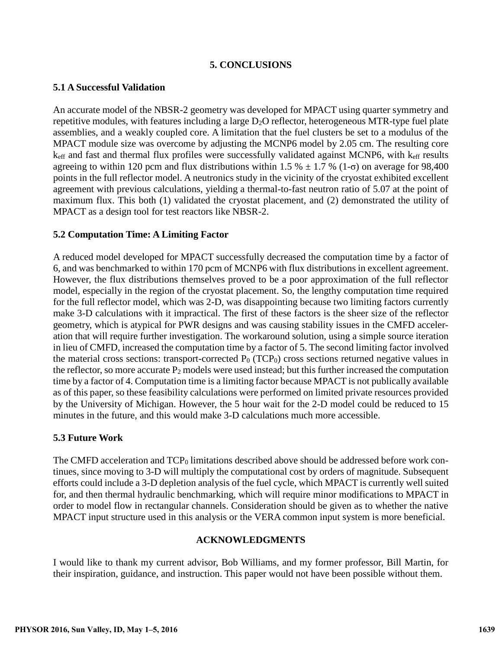### **5. CONCLUSIONS**

### **5.1 A Successful Validation**

An accurate model of the NBSR-2 geometry was developed for MPACT using quarter symmetry and repetitive modules, with features including a large  $D_2O$  reflector, heterogeneous MTR-type fuel plate assemblies, and a weakly coupled core. A limitation that the fuel clusters be set to a modulus of the MPACT module size was overcome by adjusting the MCNP6 model by 2.05 cm. The resulting core  $k<sub>eff</sub>$  and fast and thermal flux profiles were successfully validated against MCNP6, with  $k<sub>eff</sub>$  results agreeing to within 120 pcm and flux distributions within 1.5 %  $\pm$  1.7 % (1- $\sigma$ ) on average for 98,400 points in the full reflector model. A neutronics study in the vicinity of the cryostat exhibited excellent agreement with previous calculations, yielding a thermal-to-fast neutron ratio of 5.07 at the point of maximum flux. This both (1) validated the cryostat placement, and (2) demonstrated the utility of MPACT as a design tool for test reactors like NBSR-2.

# **5.2 Computation Time: A Limiting Factor**

A reduced model developed for MPACT successfully decreased the computation time by a factor of 6, and was benchmarked to within 170 pcm of MCNP6 with flux distributions in excellent agreement. However, the flux distributions themselves proved to be a poor approximation of the full reflector model, especially in the region of the cryostat placement. So, the lengthy computation time required for the full reflector model, which was 2-D, was disappointing because two limiting factors currently make 3-D calculations with it impractical. The first of these factors is the sheer size of the reflector geometry, which is atypical for PWR designs and was causing stability issues in the CMFD acceleration that will require further investigation. The workaround solution, using a simple source iteration in lieu of CMFD, increased the computation time by a factor of 5. The second limiting factor involved the material cross sections: transport-corrected  $P_0$  (TCP<sub>0</sub>) cross sections returned negative values in the reflector, so more accurate  $P_2$  models were used instead; but this further increased the computation time by a factor of 4. Computation time is a limiting factor because MPACT is not publically available as of this paper, so these feasibility calculations were performed on limited private resources provided by the University of Michigan. However, the 5 hour wait for the 2-D model could be reduced to 15 minutes in the future, and this would make 3-D calculations much more accessible.

# **5.3 Future Work**

The CMFD acceleration and  $TCP_0$  limitations described above should be addressed before work continues, since moving to 3-D will multiply the computational cost by orders of magnitude. Subsequent efforts could include a 3-D depletion analysis of the fuel cycle, which MPACT is currently well suited for, and then thermal hydraulic benchmarking, which will require minor modifications to MPACT in order to model flow in rectangular channels. Consideration should be given as to whether the native MPACT input structure used in this analysis or the VERA common input system is more beneficial.

### **ACKNOWLEDGMENTS**

I would like to thank my current advisor, Bob Williams, and my former professor, Bill Martin, for their inspiration, guidance, and instruction. This paper would not have been possible without them.